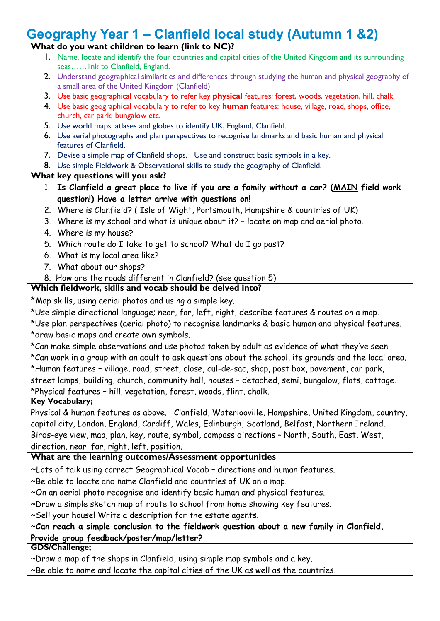# **Geography Year 1 – Clanfield local study (Autumn 1 &2)**

# **What do you want children to learn (link to NC)?**

- 1. Name, locate and identify the four countries and capital cities of the United Kingdom and its surrounding seas……link to Clanfield, England.
- 2. Understand geographical similarities and differences through studying the human and physical geography of a small area of the United Kingdom (Clanfield)
- 3. Use basic geographical vocabulary to refer key **physical** features: forest, woods, vegetation, hill, chalk
- 4. Use basic geographical vocabulary to refer to key **human** features: house, village, road, shops, office, church, car park, bungalow etc.
- 5. Use world maps, atlases and globes to identify UK, England, Clanfield.
- 6. Use aerial photographs and plan perspectives to recognise landmarks and basic human and physical features of Clanfield.
- 7. Devise a simple map of Clanfield shops. Use and construct basic symbols in a key.
- 8. Use simple Fieldwork & Observational skills to study the geography of Clanfield.

#### **What key questions will you ask?**

- 1. **Is Clanfield a great place to live if you are a family without a car? (MAIN field work question!) Have a letter arrive with questions on!**
- 2. Where is Clanfield? ( Isle of Wight, Portsmouth, Hampshire & countries of UK)
- 3. Where is my school and what is unique about it? locate on map and aerial photo.
- 4. Where is my house?
- 5. Which route do I take to get to school? What do I go past?
- 6. What is my local area like?
- 7. What about our shops?
- 8. How are the roads different in Clanfield? (see question 5)

## **Which fieldwork, skills and vocab should be delved into?**

\*Map skills, using aerial photos and using a simple key.

\*Use simple directional language; near, far, left, right, describe features & routes on a map.

\*Use plan perspectives (aerial photo) to recognise landmarks & basic human and physical features. \*draw basic maps and create own symbols.

\*Can make simple observations and use photos taken by adult as evidence of what they've seen.

\*Can work in a group with an adult to ask questions about the school, its grounds and the local area. \*Human features – village, road, street, close, cul-de-sac, shop, post box, pavement, car park,

street lamps, building, church, community hall, houses – detached, semi, bungalow, flats, cottage.

\*Physical features – hill, vegetation, forest, woods, flint, chalk.

#### **Key Vocabulary;**

Physical & human features as above. Clanfield, Waterlooville, Hampshire, United Kingdom, country, capital city, London, England, Cardiff, Wales, Edinburgh, Scotland, Belfast, Northern Ireland. Birds-eye view, map, plan, key, route, symbol, compass directions – North, South, East, West, direction, near, far, right, left, position.

## **What are the learning outcomes/Assessment opportunities**

~Lots of talk using correct Geographical Vocab – directions and human features.

~Be able to locate and name Clanfield and countries of UK on a map.

~On an aerial photo recognise and identify basic human and physical features.

~Draw a simple sketch map of route to school from home showing key features.

~Sell your house! Write a description for the estate agents.

## ~**Can reach a simple conclusion to the fieldwork question about a new family in Clanfield. Provide group feedback/poster/map/letter?**

**GDS/Challenge;**

~Draw a map of the shops in Clanfield, using simple map symbols and a key.

~Be able to name and locate the capital cities of the UK as well as the countries.